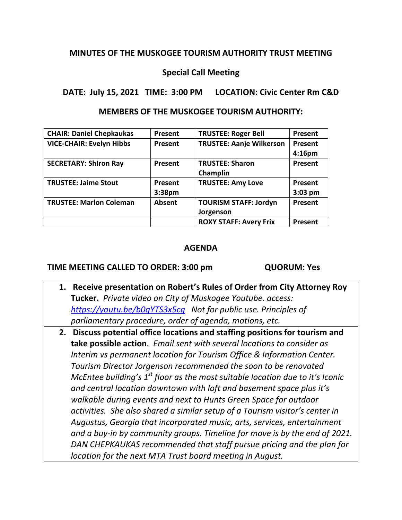## **MINUTES OF THE MUSKOGEE TOURISM AUTHORITY TRUST MEETING**

## **Special Call Meeting**

**DATE: July 15, 2021 TIME: 3:00 PM LOCATION: Civic Center Rm C&D**

**MEMBERS OF THE MUSKOGEE TOURISM AUTHORITY:**

| <b>CHAIR: Daniel Chepkaukas</b> | Present            | <b>TRUSTEE: Roger Bell</b>      | Present            |
|---------------------------------|--------------------|---------------------------------|--------------------|
| <b>VICE-CHAIR: Evelyn Hibbs</b> | Present            | <b>TRUSTEE: Aanje Wilkerson</b> | Present            |
|                                 |                    |                                 | 4:16 <sub>pm</sub> |
| <b>SECRETARY: Shiron Ray</b>    | <b>Present</b>     | <b>TRUSTEE: Sharon</b>          | Present            |
|                                 |                    | Champlin                        |                    |
| <b>TRUSTEE: Jaime Stout</b>     | <b>Present</b>     | <b>TRUSTEE: Amy Love</b>        | Present            |
|                                 | 3:38 <sub>pm</sub> |                                 | $3:03$ pm          |
| <b>TRUSTEE: Marlon Coleman</b>  | <b>Absent</b>      | <b>TOURISM STAFF: Jordyn</b>    | Present            |
|                                 |                    | Jorgenson                       |                    |
|                                 |                    | <b>ROXY STAFF: Avery Frix</b>   | Present            |

## **AGENDA**

## **TIME MEETING CALLED TO ORDER: 3:00 pm QUORUM: Yes**

- **1. Receive presentation on Robert's Rules of Order from City Attorney Roy Tucker.** *Private video on City of Muskogee Youtube. access: <https://youtu.be/b0qYTS3x5cg>Not for public use. Principles of parliamentary procedure, order of agenda, motions, etc.*
- **2. Discuss potential office locations and staffing positions for tourism and take possible action***. Email sent with several locations to consider as Interim vs permanent location for Tourism Office & Information Center. Tourism Director Jorgenson recommended the soon to be renovated McEntee building's 1st floor as the most suitable location due to it's Iconic and central location downtown with loft and basement space plus it's walkable during events and next to Hunts Green Space for outdoor activities. She also shared a similar setup of a Tourism visitor's center in Augustus, Georgia that incorporated music, arts, services, entertainment and a buy-in by community groups. Timeline for move is by the end of 2021. DAN CHEPKAUKAS recommended that staff pursue pricing and the plan for location for the next MTA Trust board meeting in August.*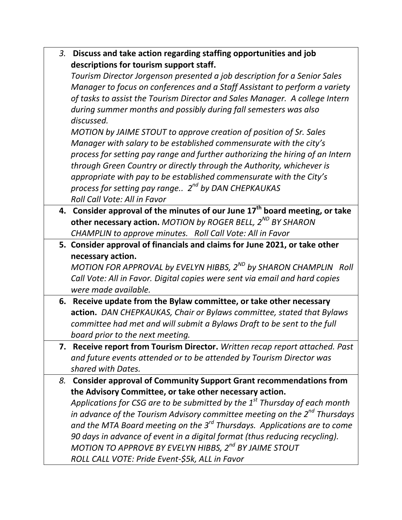|                                         | 3. Discuss and take action regarding staffing opportunities and job |  |
|-----------------------------------------|---------------------------------------------------------------------|--|
| descriptions for tourism support staff. |                                                                     |  |

*Tourism Director Jorgenson presented a job description for a Senior Sales Manager to focus on conferences and a Staff Assistant to perform a variety of tasks to assist the Tourism Director and Sales Manager. A college Intern during summer months and possibly during fall semesters was also discussed.* 

*MOTION by JAIME STOUT to approve creation of position of Sr. Sales Manager with salary to be established commensurate with the city's process for setting pay range and further authorizing the hiring of an Intern through Green Country or directly through the Authority, whichever is appropriate with pay to be established commensurate with the City's process for setting pay range.. 2nd by DAN CHEPKAUKAS Roll Call Vote: All in Favor*

- **4. Consider approval of the minutes of our June 17th board meeting, or take other necessary action.** *MOTION by ROGER BELL, 2ND BY SHARON CHAMPLIN to approve minutes. Roll Call Vote: All in Favor*
- **5. Consider approval of financials and claims for June 2021, or take other necessary action.**

*MOTION FOR APPROVAL by EVELYN HIBBS, 2ND by SHARON CHAMPLIN Roll Call Vote: All in Favor. Digital copies were sent via email and hard copies were made available.*

- **6. Receive update from the Bylaw committee, or take other necessary action.** *DAN CHEPKAUKAS, Chair or Bylaws committee, stated that Bylaws committee had met and will submit a Bylaws Draft to be sent to the full board prior to the next meeting.*
- **7. Receive report from Tourism Director.** *Written recap report attached. Past and future events attended or to be attended by Tourism Director was shared with Dates.*

*8.* **Consider approval of Community Support Grant recommendations from the Advisory Committee, or take other necessary action.**  *Applications for CSG are to be submitted by the 1st Thursday of each month in advance of the Tourism Advisory committee meeting on the 2nd Thursdays and the MTA Board meeting on the 3rd Thursdays. Applications are to come 90 days in advance of event in a digital format (thus reducing recycling). MOTION TO APPROVE BY EVELYN HIBBS, 2nd BY JAIME STOUT ROLL CALL VOTE: Pride Event-\$5k, ALL in Favor*